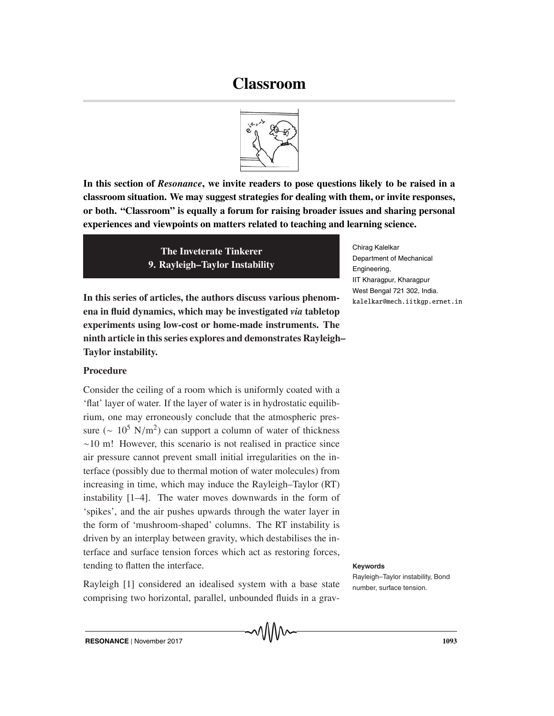# **Classroom**



**In this section of** *Resonance***, we invite readers to pose questions likely to be raised in a classroom situation. We may suggest strategies for dealing with them, or invite responses, or both. "Classroom" is equally a forum for raising broader issues and sharing personal experiences and viewpoints on matters related to teaching and learning science.**

> **The Inveterate Tinkerer 9. Rayleigh–Taylor Instability**

**In this series of articles, the authors discuss various phenomena in fluid dynamics, which may be investigated** *via* **tabletop experiments using low-cost or home-made instruments. The ninth article in this series explores and demonstrates Rayleigh– Taylor instability.**

## **Procedure**

Consider the ceiling of a room which is uniformly coated with a 'flat' layer of water. If the layer of water is in hydrostatic equilibrium, one may erroneously conclude that the atmospheric pressure ( $\sim 10^5$  N/m<sup>2</sup>) can support a column of water of thickness ∼10 m! However, this scenario is not realised in practice since air pressure cannot prevent small initial irregularities on the interface (possibly due to thermal motion of water molecules) from increasing in time, which may induce the Rayleigh–Taylor (RT) instability [1–4]. The water moves downwards in the form of 'spikes', and the air pushes upwards through the water layer in the form of 'mushroom-shaped' columns. The RT instability is driven by an interplay between gravity, which destabilises the interface and surface tension forces which act as restoring forces, tending to flatten the interface. **Keywords**

Rayleigh [1] considered an idealised system with a base state number, surface tension. comprising two horizontal, parallel, unbounded fluids in a grav-

Chirag Kalelkar Department of Mechanical Engineering, IIT Kharagpur, Kharagpur West Bengal 721 302, India. kalelkar@mech.iitkgp.ernet.in

Rayleigh–Taylor instability, Bond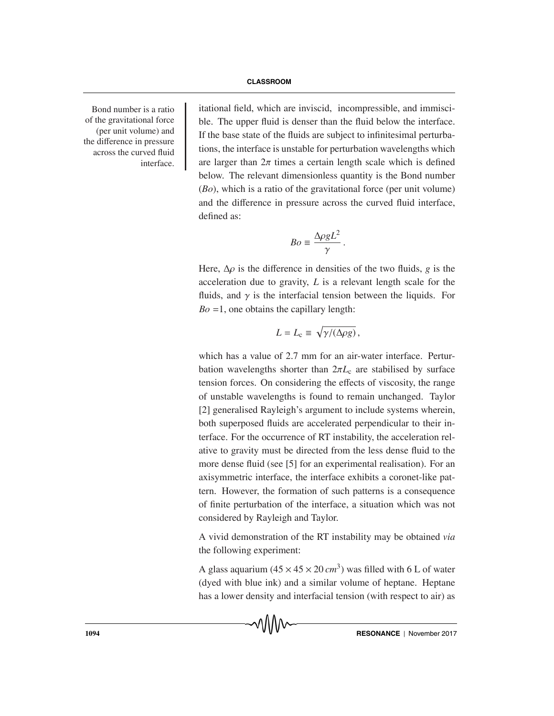of the gravitational force (per unit volume) and the difference in pressure across the curved fluid interface.

Bond number is a ratio itational field, which are inviscid, incompressible, and immiscible. The upper fluid is denser than the fluid below the interface. If the base state of the fluids are subject to infinitesimal perturbations, the interface is unstable for perturbation wavelengths which are larger than  $2\pi$  times a certain length scale which is defined below. The relevant dimensionless quantity is the Bond number (*Bo*), which is a ratio of the gravitational force (per unit volume) and the difference in pressure across the curved fluid interface, defined as:

$$
Bo \equiv \frac{\Delta \rho g L^2}{\gamma} \, .
$$

Here,  $\Delta \rho$  is the difference in densities of the two fluids, *g* is the acceleration due to gravity, *L* is a relevant length scale for the fluids, and  $\gamma$  is the interfacial tension between the liquids. For  $Bo = 1$ , one obtains the capillary length:

$$
L = L_{\rm c} \equiv \sqrt{\gamma/(\Delta \rho g)},
$$

which has a value of 2.7 mm for an air-water interface. Perturbation wavelengths shorter than  $2\pi L_c$  are stabilised by surface tension forces. On considering the effects of viscosity, the range of unstable wavelengths is found to remain unchanged. Taylor [2] generalised Rayleigh's argument to include systems wherein, both superposed fluids are accelerated perpendicular to their interface. For the occurrence of RT instability, the acceleration relative to gravity must be directed from the less dense fluid to the more dense fluid (see [5] for an experimental realisation). For an axisymmetric interface, the interface exhibits a coronet-like pattern. However, the formation of such patterns is a consequence of finite perturbation of the interface, a situation which was not considered by Rayleigh and Taylor.

A vivid demonstration of the RT instability may be obtained *via* the following experiment:

A glass aquarium  $(45 \times 45 \times 20 \text{ cm}^3)$  was filled with 6 L of water (dyed with blue ink) and a similar volume of heptane. Heptane has a lower density and interfacial tension (with respect to air) as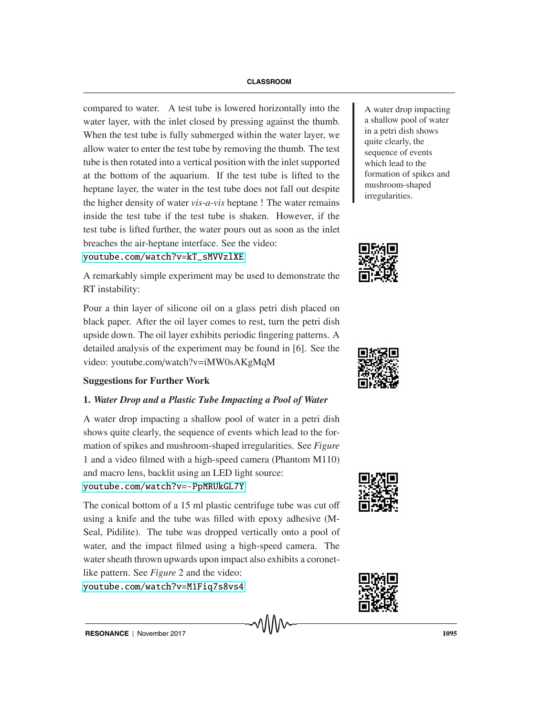compared to water. A test tube is lowered horizontally into the  $\parallel$  A water drop impacting water layer, with the inlet closed by pressing against the thumb. When the test tube is fully submerged within the water layer, we allow water to enter the test tube by removing the thumb. The test tube is then rotated into a vertical position with the inlet supported at the bottom of the aquarium. If the test tube is lifted to the heptane layer, the water in the test tube does not fall out despite the higher density of water *vis*-*a*-*vis* heptane ! The water remains inside the test tube if the test tube is shaken. However, if the test tube is lifted further, the water pours out as soon as the inlet breaches the air-heptane interface. See the video:

### [youtube.com/watch?v=kT\\_sMVVzlXE](youtube.com/watch?v=kT_sMVVzlXE)

A remarkably simple experiment may be used to demonstrate the RT instability:

Pour a thin layer of silicone oil on a glass petri dish placed on black paper. After the oil layer comes to rest, turn the petri dish upside down. The oil layer exhibits periodic fingering patterns. A detailed analysis of the experiment may be found in [6]. See the video: youtube.com/watch?v=iMW0sAKgMqM

### **Suggestions for Further Work**

### **1.** *Water Drop and a Plastic Tube Impacting a Pool of Water*

A water drop impacting a shallow pool of water in a petri dish shows quite clearly, the sequence of events which lead to the formation of spikes and mushroom-shaped irregularities. See *Figure* 1 and a video filmed with a high-speed camera (Phantom M110) and macro lens, backlit using an LED light source: <youtube.com/watch?v=-PpMRUkGL7Y>

The conical bottom of a 15 ml plastic centrifuge tube was cut off using a knife and the tube was filled with epoxy adhesive (M-Seal, Pidilite). The tube was dropped vertically onto a pool of water, and the impact filmed using a high-speed camera. The water sheath thrown upwards upon impact also exhibits a coronetlike pattern. See *Figure* 2 and the video:

<youtube.com/watch?v=M1Fiq7s8vs4>

a shallow pool of water in a petri dish shows quite clearly, the sequence of events which lead to the formation of spikes and mushroom-shaped irregularities.







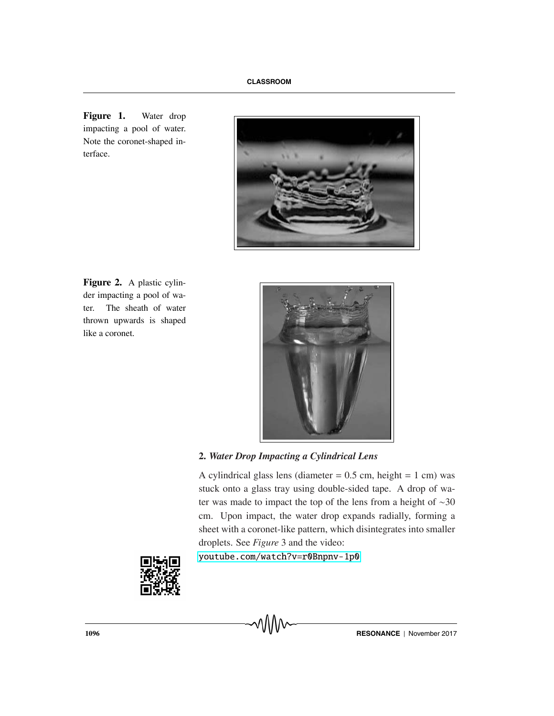**Figure 1.** Water drop impacting a pool of water. Note the coronet-shaped interface.



**Figure 2.** A plastic cylinder impacting a pool of water. The sheath of water thrown upwards is shaped like a coronet.



# **2.** *Water Drop Impacting a Cylindrical Lens*

A cylindrical glass lens (diameter  $= 0.5$  cm, height  $= 1$  cm) was stuck onto a glass tray using double-sided tape. A drop of water was made to impact the top of the lens from a height of ∼30 cm. Upon impact, the water drop expands radially, forming a sheet with a coronet-like pattern, which disintegrates into smaller droplets. See *Figure* 3 and the video:

<youtube.com/watch?v=r0Bnpnv-1p0>